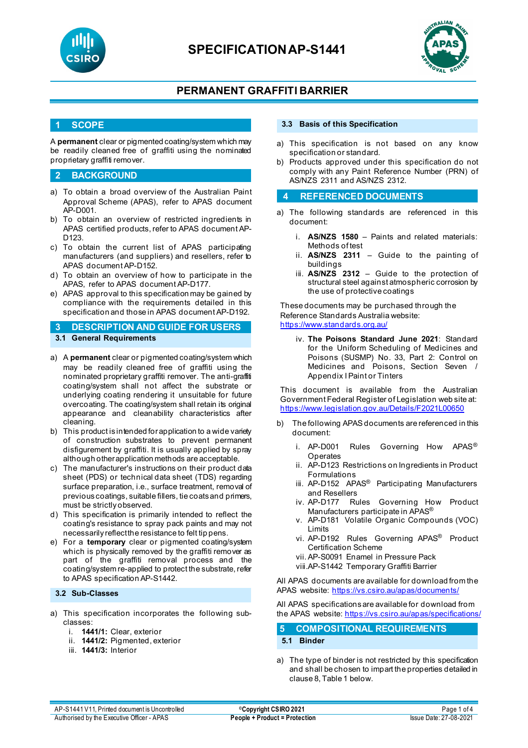



## **PERMANENT GRAFFITI BARRIER**

### **1 SCOPE**

A **permanent** clear or pigmented coating/system which may be readily cleaned free of graffiti using the nominated proprietary graffiti remover.

### **2 BACKGROUND**

- a) To obtain a broad overview of the Australian Paint Approval Scheme (APAS), refer to APAS document AP-D001.
- b) To obtain an overview of restricted ingredients in APAS certified products, refer to APAS document AP-D123.
- c) To obtain the current list of APAS participating manufacturers (and suppliers) and resellers, refer to APAS document AP-D152.
- d) To obtain an overview of how to participate in the APAS, refer to APAS document AP-D177.
- e) APAS approval to this specification may be gained by compliance with the requirements detailed in this specification and those in APAS document AP-D192.

**3 DESCRIPTION AND GUIDE FOR USERS 3.1 General Requirements**

- 
- a) A **permanent** clear or pigmented coating/system which may be readily cleaned free of graffiti using the nominated proprietary graffiti remover. The anti-graffiti coating/system shall not affect the substrate or underlying coating rendering it unsuitable for future overcoating. The coating/system shall retain its original appearance and cleanability characteristics after cleaning.
- b) This product is intended for application to a wide variety of construction substrates to prevent permanent disfigurement by graffiti. It is usually applied by spray although other application methods are acceptable.
- c) The manufacturer's instructions on their product data sheet (PDS) or technical data sheet (TDS) regarding surface preparation, i.e., surface treatment, removal of previous coatings, suitable fillers, tie coats and primers, must be strictly observed.
- d) This specification is primarily intended to reflect the coating's resistance to spray pack paints and may not necessarily reflect the resistance to felt tip pens.
- e) For a **temporary** clear or pigmented coating/system which is physically removed by the graffiti remover as part of the graffiti removal process and the coating/system re-applied to protect the substrate, refer to APAS specification AP-S1442.

#### **3.2 Sub-Classes**

- a) This specification incorporates the following subclasses:
	- i. **1441/1:** Clear, exterior
	- ii. **1441/2:** Pigmented, exterior
	- iii. **1441/3:** Interior

#### **3.3 Basis of this Specification**

- a) This specification is not based on any know specification or standard.
- b) Products approved under this specification do not comply with any Paint Reference Number (PRN) of AS/NZS 2311 and AS/NZS 2312.

#### **4 REFERENCED DOCUMENTS**

- a) The following standards are referenced in this document:
	- i. **AS/NZS 1580** Paints and related materials: Methods of test
	- ii. **AS/NZS 2311**  Guide to the painting of buildings
	- iii. **AS/NZS 2312**  Guide to the protection of structural steel against atmospheric corrosion by the use of protective coatings

These documents may be purchased through the Reference Standards Australia website: <https://www.standards.org.au/>

iv. **The Poisons Standard June 2021**: Standard for the Uniform Scheduling of Medicines and Poisons (SUSMP) No. 33, Part 2: Control on Medicines and Poisons, Section Seven / Appendix I Paint or Tinters

This document is available from the Australian Government Federal Register of Legislation web site at: <https://www.legislation.gov.au/Details/F2021L00650>

- b) The following APAS documents are referenced in this document:
	- i. AP-D001 Rules Governing How APAS<sup>®</sup> Operates
	- ii. AP-D123 Restrictions on Ingredients in Product Formulations
	- iii. AP-D152 APAS<sup>®</sup> Participating Manufacturers
	- and Resellers<br>iv. AP-D177 Ru Rules Governing How Product Manufacturers participate in APAS®
	- v. AP-D181 Volatile Organic Compounds (VOC) Limits
	- vi. AP-D192 Rules Governing APAS® Product Certification Scheme
	- vii. AP-S0091 Enamel in Pressure Pack
	- viii.AP-S1442 Temporary Graffiti Barrier

All APAS documents are available for download from the APAS website: <https://vs.csiro.au/apas/documents/>

All APAS specificationsare available for download from the APAS website: <https://vs.csiro.au/apas/specifications/>

### **5 COMPOSITIONAL REQUIREMENTS**

#### **5.1 Binder**

a) The type of binder is not restricted by this specification and shall be chosen to impart the properties detailed in clause 8, Table 1 below.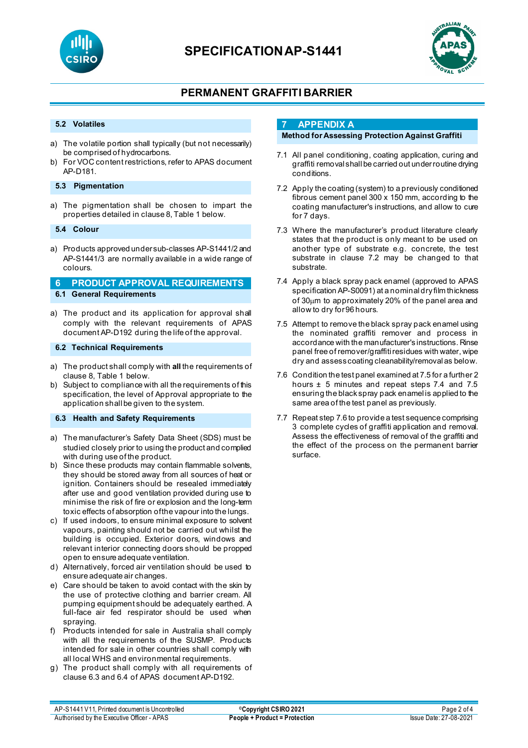



# **PERMANENT GRAFFITI BARRIER**

#### **5.2 Volatiles**

- a) The volatile portion shall typically (but not necessarily) be comprised of hydrocarbons.
- b) For VOC content restrictions, refer to APAS document AP-D181.

#### **5.3 Pigmentation**

a) The pigmentation shall be chosen to impart the properties detailed in clause 8, Table 1 below.

#### **5.4 Colour**

a) Products approved under sub-classes AP-S1441/2 and AP-S1441/3 are normally available in a wide range of colours.

### **6 PRODUCT APPROVAL REQUIREMENTS 6.1 General Requirements**

a) The product and its application for approval shall comply with the relevant requirements of APAS document AP-D192 during the life of the approval.

#### **6.2 Technical Requirements**

- a) The product shall comply with **all** the requirements of clause 8, Table 1 below.
- b) Subject to compliance with all the requirements of this specification, the level of Approval appropriate to the application shall be given to the system.

#### **6.3 Health and Safety Requirements**

- a) The manufacturer's Safety Data Sheet (SDS) must be studied closely prior to using the product and complied with during use of the product.
- b) Since these products may contain flammable solvents, they should be stored away from all sources of heat or ignition. Containers should be resealed immediately after use and good ventilation provided during use to minimise the risk of fire or explosion and the long-term toxic effects of absorption of the vapour into the lungs.
- c) If used indoors, to ensure minimal exposure to solvent vapours, painting should not be carried out whilst the building is occupied. Exterior doors, windows and relevant interior connecting doors should be propped open to ensure adequate ventilation.
- d) Alternatively, forced air ventilation should be used to ensure adequate air changes.
- e) Care should be taken to avoid contact with the skin by the use of protective clothing and barrier cream. All pumping equipment should be adequately earthed. A full-face air fed respirator should be used when spraying.
- f) Products intended for sale in Australia shall comply with all the requirements of the SUSMP. Products intended for sale in other countries shall comply with all local WHS and environmental requirements.
- g) The product shall comply with all requirements of clause 6.3 and 6.4 of APAS document AP-D192.

## **7 APPENDIX A**

### **Method for Assessing Protection Against Graffiti**

- 7.1 All panel conditioning, coating application, curing and graffiti removal shall be carried out under routine drying conditions.
- 7.2 Apply the coating (system) to a previously conditioned fibrous cement panel 300 x 150 mm, according to the coating manufacturer's instructions, and allow to cure for 7 days.
- 7.3 Where the manufacturer's product literature clearly states that the product is only meant to be used on another type of substrate e.g. concrete, the test substrate in clause 7.2 may be changed to that substrate.
- 7.4 Apply a black spray pack enamel (approved to APAS specification AP-S0091) at a nominal dry film thickness of 30µm to approximately 20% of the panel area and allow to dry for 96 hours.
- 7.5 Attempt to remove the black spray pack enamel using the nominated graffiti remover and process in accordance with the manufacturer's instructions. Rinse panel free of remover/graffiti residues with water, wipe dry and assess coating cleanability/removal as below.
- 7.6 Condition the test panel examined at 7.5 for a further 2 hours ± 5 minutes and repeat steps 7.4 and 7.5 ensuring the black spray pack enamel is applied to the same area of the test panel as previously.
- 7.7 Repeat step 7.6 to provide a test sequence comprising 3 complete cycles of graffiti application and removal. Assess the effectiveness of removal of the graffiti and the effect of the process on the permanent barrier surface.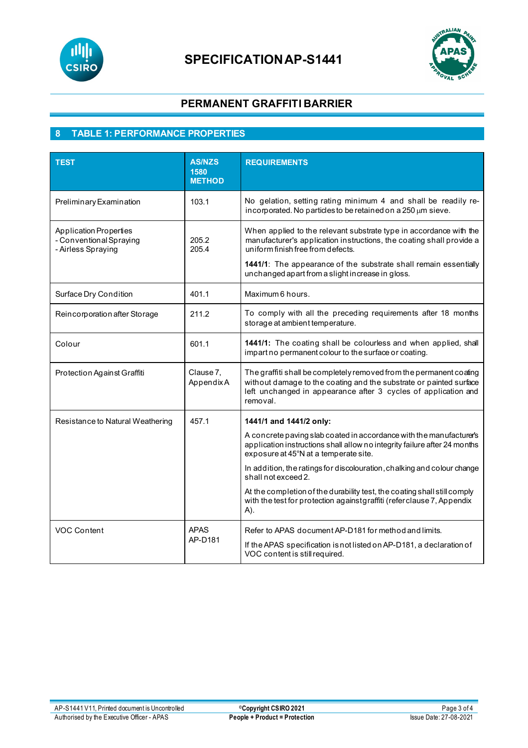



# **PERMANENT GRAFFITI BARRIER**

# **8 TABLE 1: PERFORMANCE PROPERTIES**

| <b>TEST</b>                                                                    | <b>AS/NZS</b><br>1580<br><b>METHOD</b> | <b>REQUIREMENTS</b>                                                                                                                                                                                                                                                                                     |
|--------------------------------------------------------------------------------|----------------------------------------|---------------------------------------------------------------------------------------------------------------------------------------------------------------------------------------------------------------------------------------------------------------------------------------------------------|
| Preliminary Examination                                                        | 103.1                                  | No gelation, setting rating minimum 4 and shall be readily re-<br>incorporated. No particles to be retained on a $250 \mu m$ sieve.                                                                                                                                                                     |
| <b>Application Properties</b><br>- Conventional Spraying<br>- Airless Spraying | 205.2<br>205.4                         | When applied to the relevant substrate type in accordance with the<br>manufacturer's application instructions, the coating shall provide a<br>uniform finish free from defects.<br>1441/1: The appearance of the substrate shall remain essentially<br>unchanged apart from a slight increase in gloss. |
| Surface Dry Condition                                                          | 401.1                                  | Maximum 6 hours.                                                                                                                                                                                                                                                                                        |
| Reincorporation after Storage                                                  | 211.2                                  | To comply with all the preceding requirements after 18 months<br>storage at ambient temperature.                                                                                                                                                                                                        |
| Colour                                                                         | 601.1                                  | 1441/1: The coating shall be colourless and when applied, shall<br>impart no permanent colour to the surface or coating.                                                                                                                                                                                |
| Protection Against Graffiti                                                    | Clause 7,<br>AppendixA                 | The graffiti shall be completely removed from the permanent coating<br>without damage to the coating and the substrate or painted surface<br>left unchanged in appearance after 3 cycles of application and<br>removal.                                                                                 |
| Resistance to Natural Weathering                                               | 457.1                                  | 1441/1 and 1441/2 only:                                                                                                                                                                                                                                                                                 |
|                                                                                |                                        | A concrete paving slab coated in accordance with the manufacturer's<br>application instructions shall allow no integrity failure after 24 months<br>exposure at 45°N at a temperate site.                                                                                                               |
|                                                                                |                                        | In addition, the ratings for discolouration, chalking and colour change<br>shall not exceed 2.                                                                                                                                                                                                          |
|                                                                                |                                        | At the completion of the durability test, the coating shall still comply<br>with the test for protection against graffiti (refer clause 7, Appendix<br>A).                                                                                                                                              |
| <b>VOC Content</b>                                                             | <b>APAS</b><br>AP-D181                 | Refer to APAS document AP-D181 for method and limits.<br>If the APAS specification is not listed on AP-D181, a declaration of<br>VOC content is still required.                                                                                                                                         |